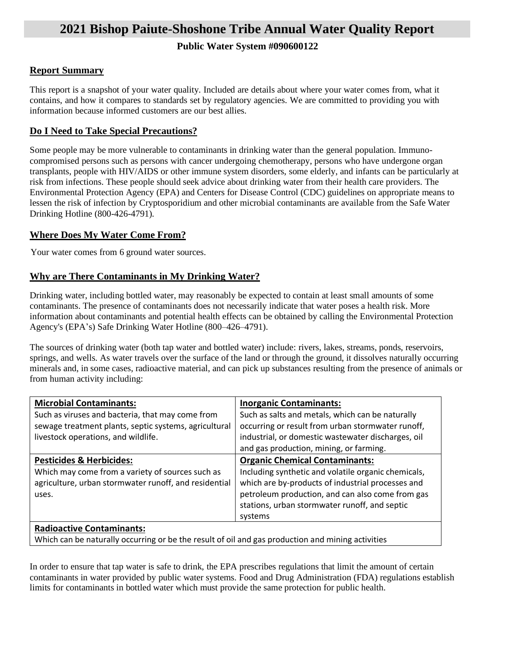# **2021 Bishop Paiute-Shoshone Tribe Annual Water Quality Report**

# **Public Water System #090600122**

# **Report Summary**

This report is a snapshot of your water quality. Included are details about where your water comes from, what it contains, and how it compares to standards set by regulatory agencies. We are committed to providing you with information because informed customers are our best allies.

# **Do I Need to Take Special Precautions?**

Some people may be more vulnerable to contaminants in drinking water than the general population. Immunocompromised persons such as persons with cancer undergoing chemotherapy, persons who have undergone organ transplants, people with HIV/AIDS or other immune system disorders, some elderly, and infants can be particularly at risk from infections. These people should seek advice about drinking water from their health care providers. The Environmental Protection Agency (EPA) and Centers for Disease Control (CDC) guidelines on appropriate means to lessen the risk of infection by Cryptosporidium and other microbial contaminants are available from the Safe Water Drinking Hotline (800-426-4791).

# **Where Does My Water Come From?**

Your water comes from 6 ground water sources.

# **Why are There Contaminants in My Drinking Water?**

Drinking water, including bottled water, may reasonably be expected to contain at least small amounts of some contaminants. The presence of contaminants does not necessarily indicate that water poses a health risk. More information about contaminants and potential health effects can be obtained by calling the Environmental Protection Agency's (EPA's) Safe Drinking Water Hotline (800–426–4791).

The sources of drinking water (both tap water and bottled water) include: rivers, lakes, streams, ponds, reservoirs, springs, and wells. As water travels over the surface of the land or through the ground, it dissolves naturally occurring minerals and, in some cases, radioactive material, and can pick up substances resulting from the presence of animals or from human activity including:

| <b>Microbial Contaminants:</b>                        | <b>Inorganic Contaminants:</b>                      |
|-------------------------------------------------------|-----------------------------------------------------|
| Such as viruses and bacteria, that may come from      | Such as salts and metals, which can be naturally    |
| sewage treatment plants, septic systems, agricultural | occurring or result from urban stormwater runoff,   |
| livestock operations, and wildlife.                   | industrial, or domestic wastewater discharges, oil  |
|                                                       | and gas production, mining, or farming.             |
| <b>Pesticides &amp; Herbicides:</b>                   | <b>Organic Chemical Contaminants:</b>               |
| Which may come from a variety of sources such as      | Including synthetic and volatile organic chemicals, |
| agriculture, urban stormwater runoff, and residential | which are by-products of industrial processes and   |
| uses.                                                 | petroleum production, and can also come from gas    |
|                                                       | stations, urban stormwater runoff, and septic       |
|                                                       | systems                                             |
| <b>Radioactive Contaminants:</b>                      |                                                     |
|                                                       |                                                     |

Which can be naturally occurring or be the result of oil and gas production and mining activities

In order to ensure that tap water is safe to drink, the EPA prescribes regulations that limit the amount of certain contaminants in water provided by public water systems. Food and Drug Administration (FDA) regulations establish limits for contaminants in bottled water which must provide the same protection for public health.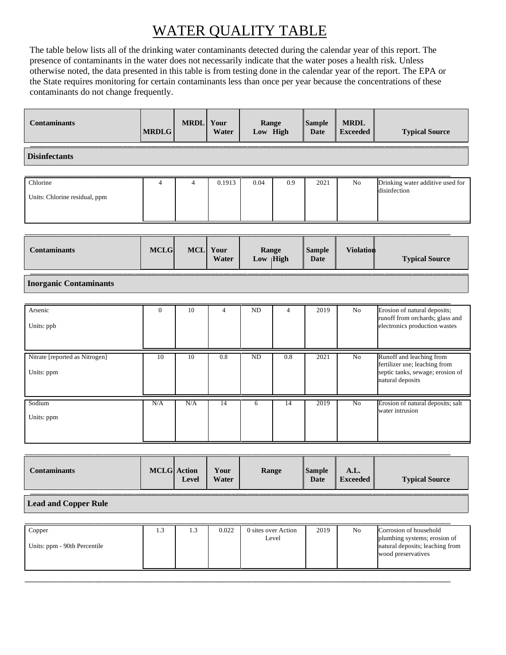# WATER QUALITY TABLE

The table below lists all of the drinking water contaminants detected during the calendar year of this report. The presence of contaminants in the water does not necessarily indicate that the water poses a health risk. Unless otherwise noted, the data presented in this table is from testing done in the calendar year of the report. The EPA or the State requires monitoring for certain contaminants less than once per year because the concentrations of these contaminants do not change frequently.

| <b>Contaminants</b>                          | <b>MRDLG</b>   | <b>MRDL</b>    | Your<br>Water  | Range<br>Low High   |                | <b>Sample</b><br>Date        | <b>MRDL</b><br><b>Exceeded</b> | <b>Typical Source</b>                                                                                             |  |
|----------------------------------------------|----------------|----------------|----------------|---------------------|----------------|------------------------------|--------------------------------|-------------------------------------------------------------------------------------------------------------------|--|
| <b>Disinfectants</b>                         |                |                |                |                     |                |                              |                                |                                                                                                                   |  |
| Chlorine<br>Units: Chlorine residual, ppm    | $\overline{4}$ | $\overline{4}$ | 0.1913         | 0.04                | 0.9            | 2021                         | N <sub>o</sub>                 | Drinking water additive used for<br>disinfection                                                                  |  |
| <b>Contaminants</b>                          | <b>MCLG</b>    | MCL            | Your<br>Water  | Range<br>Low   High |                | <b>Sample</b><br><b>Date</b> | <b>Violation</b>               | <b>Typical Source</b>                                                                                             |  |
| <b>Inorganic Contaminants</b>                |                |                |                |                     |                |                              |                                |                                                                                                                   |  |
| Arsenic<br>Units: ppb                        | $\overline{0}$ | 10             | $\overline{4}$ | <b>ND</b>           | $\overline{4}$ | 2019                         | No                             | Erosion of natural deposits;<br>runoff from orchards; glass and<br>electronics production wastes                  |  |
| Nitrate [reported as Nitrogen]<br>Units: ppm | 10             | 10             | 0.8            | N <sub>D</sub>      | 0.8            | 2021                         | N <sub>0</sub>                 | Runoff and leaching from<br>fertilizer use; leaching from<br>septic tanks, sewage; erosion of<br>natural deposits |  |
| Sodium<br>Units: ppm                         | N/A            | N/A            | 14             | 6                   | 14             | 2019                         | N <sub>0</sub>                 | Erosion of natural deposits; salt<br>water intrusion                                                              |  |

| Your<br><b>MCLG</b> Action<br><b>Sample</b><br>Range<br><b>Contaminants</b><br>A.L.<br>Water<br>Date<br><b>Typical Source</b><br>Level<br><b>Exceeded</b> |  |  |  |  |
|-----------------------------------------------------------------------------------------------------------------------------------------------------------|--|--|--|--|
|                                                                                                                                                           |  |  |  |  |

### **Lead and Copper Rule**

|  | Copper<br>Units: ppm - 90th Percentile | 1.3 | 1.3 | 0.022 | 0 sites over Action<br>Level | 2019 | N <sub>0</sub> | Corrosion of household<br>plumbing systems; erosion of<br>natural deposits; leaching from<br>wood preservatives |
|--|----------------------------------------|-----|-----|-------|------------------------------|------|----------------|-----------------------------------------------------------------------------------------------------------------|
|--|----------------------------------------|-----|-----|-------|------------------------------|------|----------------|-----------------------------------------------------------------------------------------------------------------|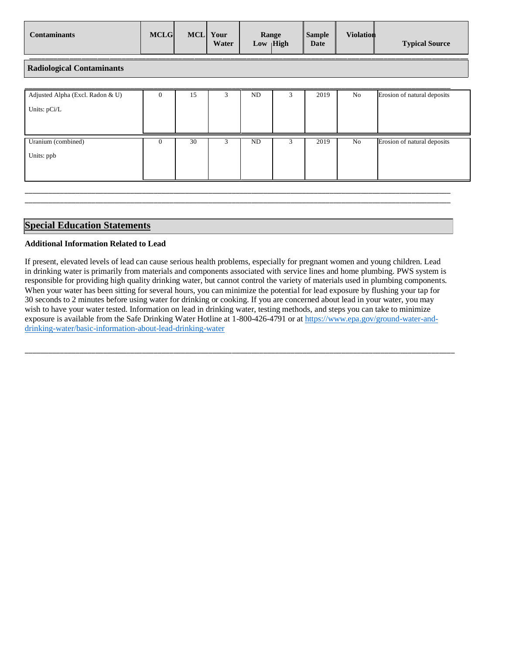| Contaminants | <b>MCLG</b> | MCL | Your<br>Water | Range<br>Low $ High $ | <b>Sample</b><br>Date | <b>Violation</b> | <b>Typical Source</b> |
|--------------|-------------|-----|---------------|-----------------------|-----------------------|------------------|-----------------------|
|              |             |     |               |                       |                       |                  |                       |

**Radiological Contaminants**

| Adjusted Alpha (Excl. Radon & U)<br>Units: pCi/L | $\theta$ | 15 | 3 | ND  | 3 | 2019 | No | Erosion of natural deposits |
|--------------------------------------------------|----------|----|---|-----|---|------|----|-----------------------------|
| Uranium (combined)<br>Units: ppb                 | 0        | 30 |   | ND. | 3 | 2019 | No | Erosion of natural deposits |

\_\_\_\_\_\_\_\_\_\_\_\_\_\_\_\_\_\_\_\_\_\_\_\_\_\_\_\_\_\_\_\_\_\_\_\_\_\_\_\_\_\_\_\_\_\_\_\_\_\_\_\_\_\_\_\_\_\_\_\_\_\_\_\_\_\_\_\_\_\_\_\_\_\_\_\_\_\_\_\_\_\_\_\_\_\_\_\_\_\_\_\_\_\_\_\_\_\_\_\_\_\_\_\_\_\_\_\_\_ \_\_\_\_\_\_\_\_\_\_\_\_\_\_\_\_\_\_\_\_\_\_\_\_\_\_\_\_\_\_\_\_\_\_\_\_\_\_\_\_\_\_\_\_\_\_\_\_\_\_\_\_\_\_\_\_\_\_\_\_\_\_\_\_\_\_\_\_\_\_\_\_\_\_\_\_\_\_\_\_\_\_\_\_\_\_\_\_\_\_\_\_\_\_\_\_\_\_\_\_\_\_\_\_\_\_\_\_\_

### **Special Education Statements**

### **Additional Information Related to Lead**

If present, elevated levels of lead can cause serious health problems, especially for pregnant women and young children. Lead in drinking water is primarily from materials and components associated with service lines and home plumbing. PWS system is responsible for providing high quality drinking water, but cannot control the variety of materials used in plumbing components. When your water has been sitting for several hours, you can minimize the potential for lead exposure by flushing your tap for 30 seconds to 2 minutes before using water for drinking or cooking. If you are concerned about lead in your water, you may wish to have your water tested. Information on lead in drinking water, testing methods, and steps you can take to minimize exposure is available from the Safe Drinking Water Hotline at 1-800-426-4791 or at [https://www.epa.gov/ground-water-and](https://www.epa.gov/ground-water-and-drinking-water/basic-information-about-lead-drinking-water)[drinking-water/basic-information-about-lead-drinking-water](https://www.epa.gov/ground-water-and-drinking-water/basic-information-about-lead-drinking-water)

\_\_\_\_\_\_\_\_\_\_\_\_\_\_\_\_\_\_\_\_\_\_\_\_\_\_\_\_\_\_\_\_\_\_\_\_\_\_\_\_\_\_\_\_\_\_\_\_\_\_\_\_\_\_\_\_\_\_\_\_\_\_\_\_\_\_\_\_\_\_\_\_\_\_\_\_\_\_\_\_\_\_\_\_\_\_\_\_\_\_\_\_\_\_\_\_\_\_\_\_\_\_\_\_\_\_\_\_\_\_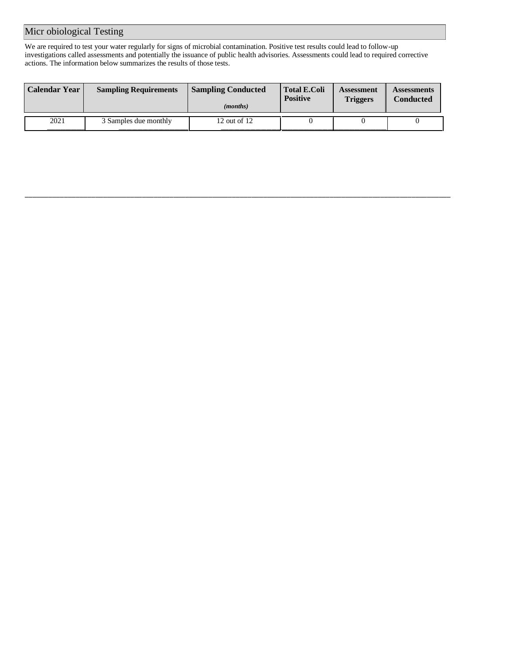# Micr obiological Testing

We are required to test your water regularly for signs of microbial contamination. Positive test results could lead to follow-up investigations called assessments and potentially the issuance of public health advisories. Assessments could lead to required corrective actions. The information below summarizes the results of those tests.

| <b>Calendar Year</b> | <b>Sampling Requirements</b> | <b>Sampling Conducted</b><br>( <i>months</i> ) | <b>Total E.Coli</b><br><b>Positive</b> | Assessment<br><b>Triggers</b> | <b>Assessments</b><br><b>Conducted</b> |
|----------------------|------------------------------|------------------------------------------------|----------------------------------------|-------------------------------|----------------------------------------|
| 2021                 | 3 Samples due monthly        | 12 out of 12                                   |                                        |                               |                                        |

\_\_\_\_\_\_\_\_\_\_\_\_\_\_\_\_\_\_\_\_\_\_\_\_\_\_\_\_\_\_\_\_\_\_\_\_\_\_\_\_\_\_\_\_\_\_\_\_\_\_\_\_\_\_\_\_\_\_\_\_\_\_\_\_\_\_\_\_\_\_\_\_\_\_\_\_\_\_\_\_\_\_\_\_\_\_\_\_\_\_\_\_\_\_\_\_\_\_\_\_\_\_\_\_\_\_\_\_\_